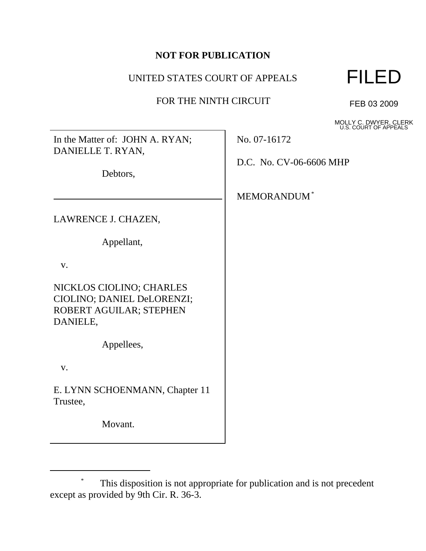# **NOT FOR PUBLICATION**

# UNITED STATES COURT OF APPEALS

### FOR THE NINTH CIRCUIT



FEB 03 2009

MOLLY C. DWYER, CLERK U.S. COURT OF APPEALS

| In the Matter of: JOHN A. RYAN; |
|---------------------------------|
| DANIELLE T. RYAN,               |

Debtors,

LAWRENCE J. CHAZEN,

Appellant,

v.

NICKLOS CIOLINO; CHARLES CIOLINO; DANIEL DeLORENZI; ROBERT AGUILAR; STEPHEN DANIELE,

Appellees,

v.

E. LYNN SCHOENMANN, Chapter 11 Trustee,

Movant.

No. 07-16172

D.C. No. CV-06-6606 MHP

MEMORANDUM\*

This disposition is not appropriate for publication and is not precedent except as provided by 9th Cir. R. 36-3.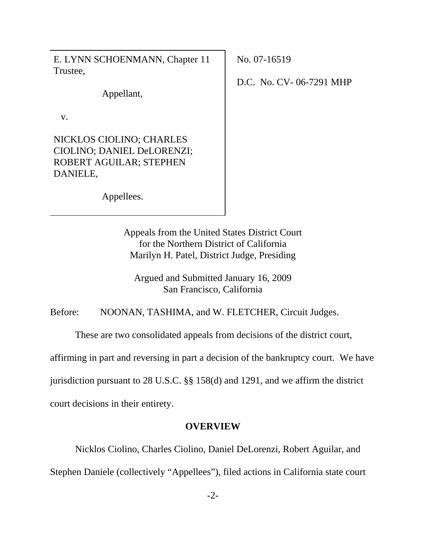E. LYNN SCHOENMANN, Chapter 11 Trustee,

Appellant,

v.

NICKLOS CIOLINO; CHARLES CIOLINO; DANIEL DeLORENZI; ROBERT AGUILAR; STEPHEN DANIELE,

No. 07-16519

D.C. No. CV- 06-7291 MHP

Appellees.

Appeals from the United States District Court for the Northern District of California Marilyn H. Patel, District Judge, Presiding

Argued and Submitted January 16, 2009 San Francisco, California

Before: NOONAN, TASHIMA, and W. FLETCHER, Circuit Judges.

These are two consolidated appeals from decisions of the district court,

affirming in part and reversing in part a decision of the bankruptcy court. We have

jurisdiction pursuant to 28 U.S.C. §§ 158(d) and 1291, and we affirm the district

court decisions in their entirety.

# **OVERVIEW**

Nicklos Ciolino, Charles Ciolino, Daniel DeLorenzi, Robert Aguilar, and

Stephen Daniele (collectively "Appellees"), filed actions in California state court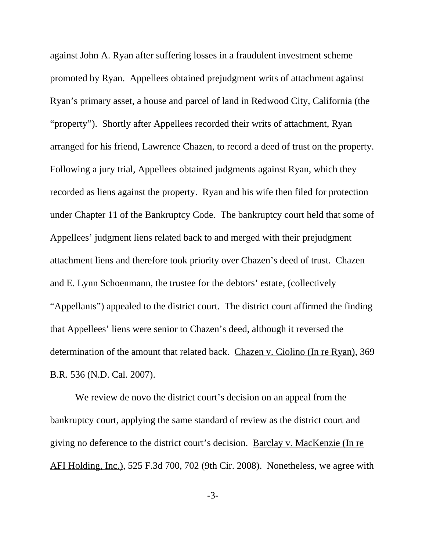against John A. Ryan after suffering losses in a fraudulent investment scheme promoted by Ryan. Appellees obtained prejudgment writs of attachment against Ryan's primary asset, a house and parcel of land in Redwood City, California (the "property"). Shortly after Appellees recorded their writs of attachment, Ryan arranged for his friend, Lawrence Chazen, to record a deed of trust on the property. Following a jury trial, Appellees obtained judgments against Ryan, which they recorded as liens against the property. Ryan and his wife then filed for protection under Chapter 11 of the Bankruptcy Code. The bankruptcy court held that some of Appellees' judgment liens related back to and merged with their prejudgment attachment liens and therefore took priority over Chazen's deed of trust. Chazen and E. Lynn Schoenmann, the trustee for the debtors' estate, (collectively "Appellants") appealed to the district court. The district court affirmed the finding that Appellees' liens were senior to Chazen's deed, although it reversed the determination of the amount that related back. Chazen v. Ciolino (In re Ryan), 369 B.R. 536 (N.D. Cal. 2007).

We review de novo the district court's decision on an appeal from the bankruptcy court, applying the same standard of review as the district court and giving no deference to the district court's decision. Barclay v. MacKenzie (In re AFI Holding, Inc.), 525 F.3d 700, 702 (9th Cir. 2008). Nonetheless, we agree with

-3-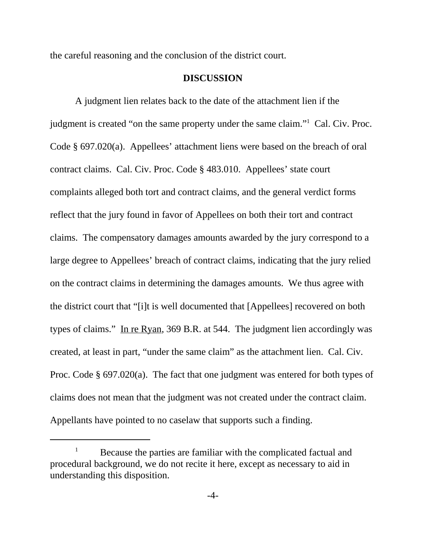the careful reasoning and the conclusion of the district court.

#### **DISCUSSION**

A judgment lien relates back to the date of the attachment lien if the judgment is created "on the same property under the same claim."<sup>1</sup> Cal. Civ. Proc. Code § 697.020(a). Appellees' attachment liens were based on the breach of oral contract claims. Cal. Civ. Proc. Code § 483.010. Appellees' state court complaints alleged both tort and contract claims, and the general verdict forms reflect that the jury found in favor of Appellees on both their tort and contract claims. The compensatory damages amounts awarded by the jury correspond to a large degree to Appellees' breach of contract claims, indicating that the jury relied on the contract claims in determining the damages amounts. We thus agree with the district court that "[i]t is well documented that [Appellees] recovered on both types of claims." In re Ryan, 369 B.R. at 544. The judgment lien accordingly was created, at least in part, "under the same claim" as the attachment lien. Cal. Civ. Proc. Code § 697.020(a). The fact that one judgment was entered for both types of claims does not mean that the judgment was not created under the contract claim. Appellants have pointed to no caselaw that supports such a finding.

<sup>1</sup> Because the parties are familiar with the complicated factual and procedural background, we do not recite it here, except as necessary to aid in understanding this disposition.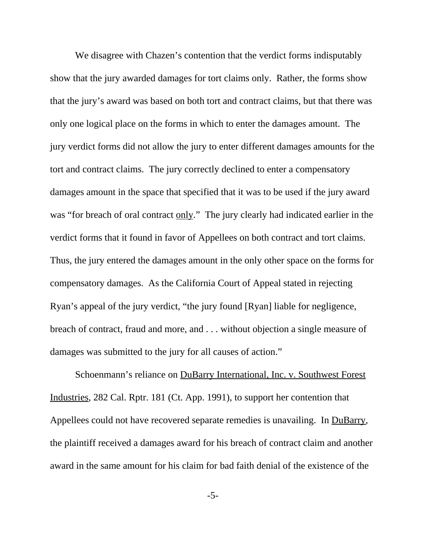We disagree with Chazen's contention that the verdict forms indisputably show that the jury awarded damages for tort claims only. Rather, the forms show that the jury's award was based on both tort and contract claims, but that there was only one logical place on the forms in which to enter the damages amount. The jury verdict forms did not allow the jury to enter different damages amounts for the tort and contract claims. The jury correctly declined to enter a compensatory damages amount in the space that specified that it was to be used if the jury award was "for breach of oral contract only." The jury clearly had indicated earlier in the verdict forms that it found in favor of Appellees on both contract and tort claims. Thus, the jury entered the damages amount in the only other space on the forms for compensatory damages. As the California Court of Appeal stated in rejecting Ryan's appeal of the jury verdict, "the jury found [Ryan] liable for negligence, breach of contract, fraud and more, and . . . without objection a single measure of damages was submitted to the jury for all causes of action."

Schoenmann's reliance on DuBarry International, Inc. v. Southwest Forest Industries, 282 Cal. Rptr. 181 (Ct. App. 1991), to support her contention that Appellees could not have recovered separate remedies is unavailing. In DuBarry, the plaintiff received a damages award for his breach of contract claim and another award in the same amount for his claim for bad faith denial of the existence of the

-5-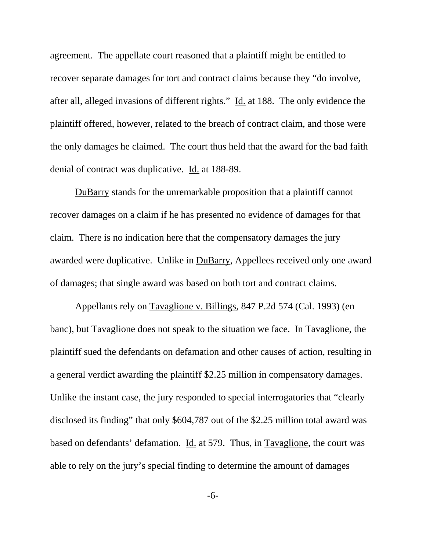agreement. The appellate court reasoned that a plaintiff might be entitled to recover separate damages for tort and contract claims because they "do involve, after all, alleged invasions of different rights." Id. at 188. The only evidence the plaintiff offered, however, related to the breach of contract claim, and those were the only damages he claimed. The court thus held that the award for the bad faith denial of contract was duplicative. Id. at 188-89.

DuBarry stands for the unremarkable proposition that a plaintiff cannot recover damages on a claim if he has presented no evidence of damages for that claim. There is no indication here that the compensatory damages the jury awarded were duplicative. Unlike in DuBarry, Appellees received only one award of damages; that single award was based on both tort and contract claims.

Appellants rely on Tavaglione v. Billings, 847 P.2d 574 (Cal. 1993) (en banc), but Tavaglione does not speak to the situation we face. In Tavaglione, the plaintiff sued the defendants on defamation and other causes of action, resulting in a general verdict awarding the plaintiff \$2.25 million in compensatory damages. Unlike the instant case, the jury responded to special interrogatories that "clearly disclosed its finding" that only \$604,787 out of the \$2.25 million total award was based on defendants' defamation. Id. at 579. Thus, in Tavaglione, the court was able to rely on the jury's special finding to determine the amount of damages

-6-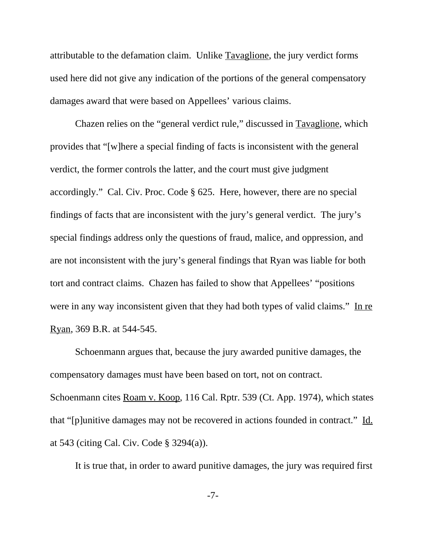attributable to the defamation claim. Unlike Tavaglione, the jury verdict forms used here did not give any indication of the portions of the general compensatory damages award that were based on Appellees' various claims.

Chazen relies on the "general verdict rule," discussed in Tavaglione, which provides that "[w]here a special finding of facts is inconsistent with the general verdict, the former controls the latter, and the court must give judgment accordingly." Cal. Civ. Proc. Code § 625. Here, however, there are no special findings of facts that are inconsistent with the jury's general verdict. The jury's special findings address only the questions of fraud, malice, and oppression, and are not inconsistent with the jury's general findings that Ryan was liable for both tort and contract claims. Chazen has failed to show that Appellees' "positions were in any way inconsistent given that they had both types of valid claims." In re Ryan, 369 B.R. at 544-545.

Schoenmann argues that, because the jury awarded punitive damages, the compensatory damages must have been based on tort, not on contract. Schoenmann cites <u>Roam v. Koop</u>, 116 Cal. Rptr. 539 (Ct. App. 1974), which states that "[p]unitive damages may not be recovered in actions founded in contract." Id. at 543 (citing Cal. Civ. Code § 3294(a)).

It is true that, in order to award punitive damages, the jury was required first

-7-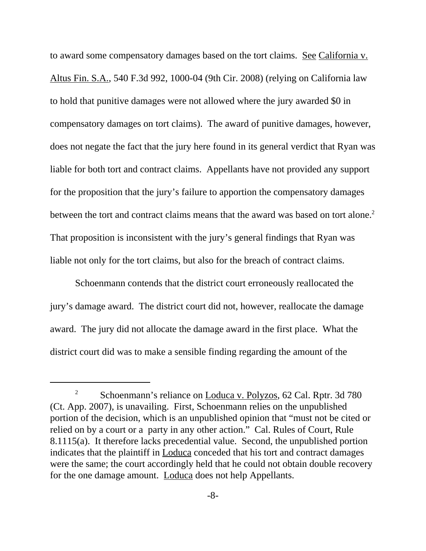to award some compensatory damages based on the tort claims. See California v. Altus Fin. S.A., 540 F.3d 992, 1000-04 (9th Cir. 2008) (relying on California law to hold that punitive damages were not allowed where the jury awarded \$0 in compensatory damages on tort claims). The award of punitive damages, however, does not negate the fact that the jury here found in its general verdict that Ryan was liable for both tort and contract claims. Appellants have not provided any support for the proposition that the jury's failure to apportion the compensatory damages between the tort and contract claims means that the award was based on tort alone.<sup>2</sup> That proposition is inconsistent with the jury's general findings that Ryan was liable not only for the tort claims, but also for the breach of contract claims.

 Schoenmann contends that the district court erroneously reallocated the jury's damage award. The district court did not, however, reallocate the damage award. The jury did not allocate the damage award in the first place. What the district court did was to make a sensible finding regarding the amount of the

<sup>&</sup>lt;sup>2</sup> Schoenmann's reliance on Loduca v. Polyzos, 62 Cal. Rptr. 3d 780 (Ct. App. 2007), is unavailing. First, Schoenmann relies on the unpublished portion of the decision, which is an unpublished opinion that "must not be cited or relied on by a court or a party in any other action." Cal. Rules of Court, Rule 8.1115(a). It therefore lacks precedential value. Second, the unpublished portion indicates that the plaintiff in Loduca conceded that his tort and contract damages were the same; the court accordingly held that he could not obtain double recovery for the one damage amount. Loduca does not help Appellants.